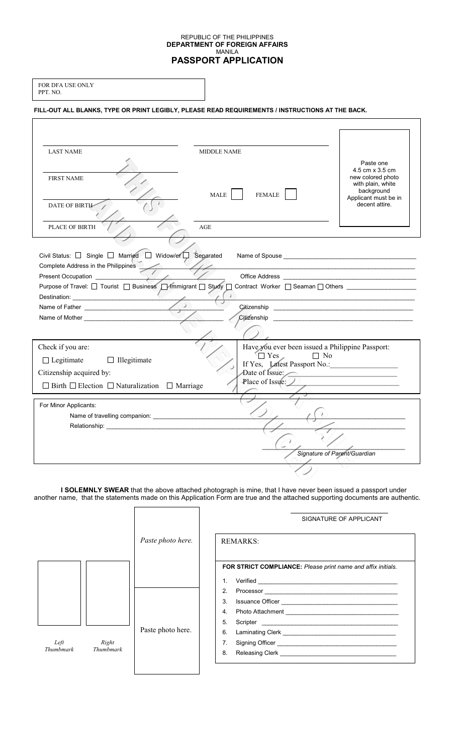#### REPUBLIC OF THE PHILIPPINES **DEPARTMENT OF FOREIGN AFFAIRS**  MANILA **PASSPORT APPLICATION**

٦

|          | <b>FOR DFA USE ONLY</b> |
|----------|-------------------------|
| PPT. NO. |                         |

 $\overline{\phantom{a}}$ 

## **FILL-OUT ALL BLANKS, TYPE OR PRINT LEGIBLY, PLEASE READ REQUIREMENTS / INSTRUCTIONS AT THE BACK.**

| <b>LAST NAME</b>                                                                                                                                                                                                               | <b>MIDDLE NAME</b>                                                                                                                                                                                                                  |                                      |
|--------------------------------------------------------------------------------------------------------------------------------------------------------------------------------------------------------------------------------|-------------------------------------------------------------------------------------------------------------------------------------------------------------------------------------------------------------------------------------|--------------------------------------|
|                                                                                                                                                                                                                                |                                                                                                                                                                                                                                     | Paste one                            |
| <b>FIRST NAME</b>                                                                                                                                                                                                              |                                                                                                                                                                                                                                     | 4.5 cm x 3.5 cm<br>new colored photo |
|                                                                                                                                                                                                                                |                                                                                                                                                                                                                                     | with plain, white<br>background      |
|                                                                                                                                                                                                                                | MALE  <br><b>FEMALE</b>                                                                                                                                                                                                             | Applicant must be in                 |
| <b>DATE OF BIRTH-</b>                                                                                                                                                                                                          |                                                                                                                                                                                                                                     | decent attire.                       |
| <b>PLACE OF BIRTH</b>                                                                                                                                                                                                          | AGE                                                                                                                                                                                                                                 |                                      |
|                                                                                                                                                                                                                                |                                                                                                                                                                                                                                     |                                      |
|                                                                                                                                                                                                                                |                                                                                                                                                                                                                                     |                                      |
| Civil Status: □ Single □ Married □ Widow/er □ Separated                                                                                                                                                                        |                                                                                                                                                                                                                                     |                                      |
| Complete Address in the Philippines                                                                                                                                                                                            |                                                                                                                                                                                                                                     |                                      |
| Purpose of Travel: □ Tourist □ Business □ Immigrant □ Study □ Contract Worker □ Seaman □ Others                                                                                                                                |                                                                                                                                                                                                                                     |                                      |
|                                                                                                                                                                                                                                |                                                                                                                                                                                                                                     |                                      |
|                                                                                                                                                                                                                                |                                                                                                                                                                                                                                     |                                      |
| Name of Mother and the state of the state of the state of the state of the state of the state of the state of the state of the state of the state of the state of the state of the state of the state of the state of the stat | Citizenship <b>Community</b> and the community of the community of the community of the community of the community of the community of the community of the community of the community of the community of the community of the com |                                      |
|                                                                                                                                                                                                                                |                                                                                                                                                                                                                                     |                                      |
| Check if you are:                                                                                                                                                                                                              | Have you ever been issued a Philippine Passport:                                                                                                                                                                                    |                                      |
| $\Box$ Legitimate<br>$\Box$ Illegitimate                                                                                                                                                                                       | $\sqrt{\Box}$ Yes<br>$\Box$ No<br>If Yes, Latest Passport No.:                                                                                                                                                                      |                                      |
| Citizenship acquired by:                                                                                                                                                                                                       | Date of Issue:                                                                                                                                                                                                                      |                                      |
| $\Box$ Birth $\Box$ Election $\Box$ Naturalization $\Box$ Marriage                                                                                                                                                             | Place of Issue:                                                                                                                                                                                                                     |                                      |
|                                                                                                                                                                                                                                |                                                                                                                                                                                                                                     |                                      |
| For Minor Applicants:                                                                                                                                                                                                          |                                                                                                                                                                                                                                     |                                      |
|                                                                                                                                                                                                                                |                                                                                                                                                                                                                                     |                                      |
|                                                                                                                                                                                                                                |                                                                                                                                                                                                                                     |                                      |
|                                                                                                                                                                                                                                |                                                                                                                                                                                                                                     |                                      |
|                                                                                                                                                                                                                                |                                                                                                                                                                                                                                     | Signature of Parent/Guardian         |
|                                                                                                                                                                                                                                |                                                                                                                                                                                                                                     |                                      |

**I SOLEMNLY SWEAR** that the above attached photograph is mine, that I have never been issued a passport under another name, that the statements made on this Application Form are true and the attached supporting documents are authentic.

1

 $\lceil$ 

|                   |                    |                   | SIGNATURE OF APPLICANT                                                                                                                                                                                                                                                                                      |
|-------------------|--------------------|-------------------|-------------------------------------------------------------------------------------------------------------------------------------------------------------------------------------------------------------------------------------------------------------------------------------------------------------|
|                   |                    | Paste photo here. | <b>REMARKS:</b>                                                                                                                                                                                                                                                                                             |
|                   |                    |                   | <b>FOR STRICT COMPLIANCE:</b> Please print name and affix initials.<br>Verified Network and the contract of the contract of the contract of the contract of the contract of the contract of the contract of the contract of the contract of the contract of the contract of the contract of the contr<br>1. |
| Left<br>Thumbmark | Right<br>Thumbmark | Paste photo here. | 2.<br>3.<br>4.<br>5.<br>6.<br>7.<br>8.                                                                                                                                                                                                                                                                      |